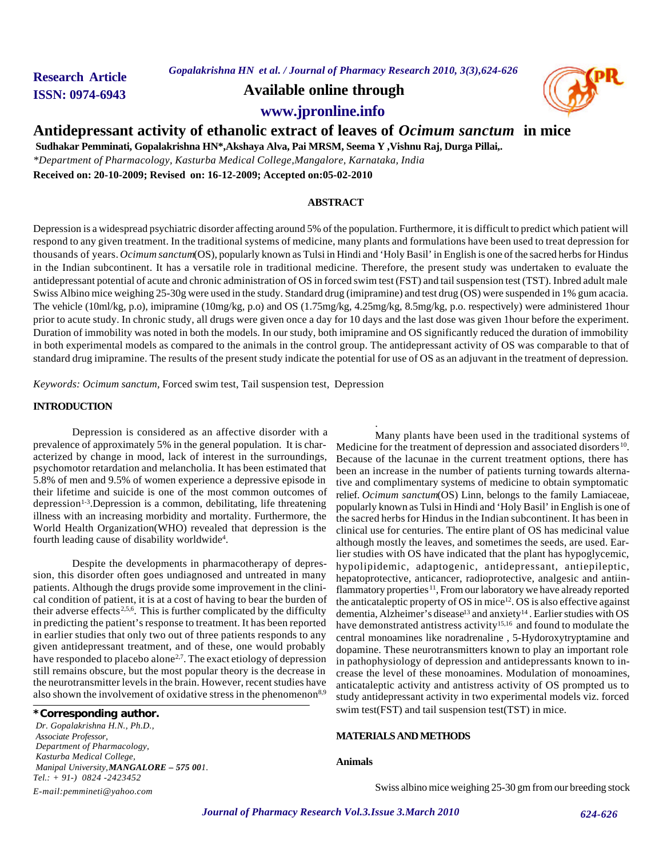*Gopalakrishna HN et al. / Journal of Pharmacy Research 2010, 3(3),624-626*

**Research Article**

**ISSN: 0974-6943 Available online through**



**www.jpronline.info**

# **Antidepressant activity of ethanolic extract of leaves of** *Ocimum sanctum* **in mice**

 **Sudhakar Pemminati, Gopalakrishna HN\*,Akshaya Alva, Pai MRSM, Seema Y ,Vishnu Raj, Durga Pillai,.**

*\*Department of Pharmacology, Kasturba Medical College,Mangalore, Karnataka, India*

**Received on: 20-10-2009; Revised on: 16-12-2009; Accepted on:05-02-2010**

# **ABSTRACT**

Depression is a widespread psychiatric disorder affecting around 5% of the population. Furthermore, it is difficult to predict which patient will respond to any given treatment. In the traditional systems of medicine, many plants and formulations have been used to treat depression for thousands of years. *Ocimum sanctum*(OS), popularly known as Tulsi in Hindi and 'Holy Basil' in English is one of the sacred herbs for Hindus in the Indian subcontinent. It has a versatile role in traditional medicine. Therefore, the present study was undertaken to evaluate the antidepressant potential of acute and chronic administration of OS in forced swim test (FST) and tail suspension test (TST). Inbred adult male Swiss Albino mice weighing 25-30g were used in the study. Standard drug (imipramine) and test drug (OS) were suspended in 1% gum acacia. The vehicle (10ml/kg, p.o), imipramine (10mg/kg, p.o) and OS (1.75mg/kg, 4.25mg/kg, 8.5mg/kg, p.o. respectively) were administered 1hour prior to acute study. In chronic study, all drugs were given once a day for 10 days and the last dose was given 1hour before the experiment. Duration of immobility was noted in both the models. In our study, both imipramine and OS significantly reduced the duration of immobility in both experimental models as compared to the animals in the control group. The antidepressant activity of OS was comparable to that of standard drug imipramine. The results of the present study indicate the potential for use of OS as an adjuvant in the treatment of depression*.*

.

*Keywords: Ocimum sanctum,* Forced swim test, Tail suspension test, Depression

# **INTRODUCTION**

Depression is considered as an affective disorder with a prevalence of approximately 5% in the general population. It is characterized by change in mood, lack of interest in the surroundings, psychomotor retardation and melancholia. It has been estimated that 5.8% of men and 9.5% of women experience a depressive episode in their lifetime and suicide is one of the most common outcomes of depression<sup>1-3</sup>.Depression is a common, debilitating, life threatening illness with an increasing morbidity and mortality. Furthermore, the World Health Organization(WHO) revealed that depression is the fourth leading cause of disability worldwide<sup>4</sup>.

Despite the developments in pharmacotherapy of depression, this disorder often goes undiagnosed and untreated in many patients. Although the drugs provide some improvement in the clinical condition of patient, it is at a cost of having to bear the burden of their adverse effects<sup>2,5,6</sup>. This is further complicated by the difficulty in predicting the patient's response to treatment. It has been reported in earlier studies that only two out of three patients responds to any given antidepressant treatment, and of these, one would probably have responded to placebo alone<sup>2,7</sup>. The exact etiology of depression still remains obscure, but the most popular theory is the decrease in the neurotransmitter levels in the brain. However, recent studies have also shown the involvement of oxidative stress in the phenomenon<sup>8,9</sup>

# **\*Corresponding author.**

*Dr. Gopalakrishna H.N., Ph.D., Associate Professor, Department of Pharmacology, Kasturba Medical College, Manipal University,MANGALORE – 575 001. Tel.: + 91-) 0824 -2423452 E-mail:pemmineti@yahoo.com*

Many plants have been used in the traditional systems of Medicine for the treatment of depression and associated disorders<sup>10</sup>. Because of the lacunae in the current treatment options, there has been an increase in the number of patients turning towards alternative and complimentary systems of medicine to obtain symptomatic relief. *Ocimum sanctum*(OS) Linn, belongs to the family Lamiaceae, popularly known as Tulsi in Hindi and 'Holy Basil' in English is one of the sacred herbs for Hindus in the Indian subcontinent. It has been in clinical use for centuries. The entire plant of OS has medicinal value although mostly the leaves, and sometimes the seeds, are used. Earlier studies with OS have indicated that the plant has hypoglycemic, hypolipidemic, adaptogenic, antidepressant, antiepileptic, hepatoprotective, anticancer, radioprotective, analgesic and antiinflammatory properties<sup>11</sup>, From our laboratory we have already reported the anticataleptic property of OS in mice12. OS is also effective against dementia, Alzheimer's disease<sup>13</sup> and anxiety<sup>14</sup>. Earlier studies with OS have demonstrated antistress activity<sup>15,16</sup> and found to modulate the central monoamines like noradrenaline , 5-Hydoroxytryptamine and dopamine. These neurotransmitters known to play an important role in pathophysiology of depression and antidepressants known to increase the level of these monoamines. Modulation of monoamines, anticataleptic activity and antistress activity of OS prompted us to study antidepressant activity in two experimental models viz. forced swim test(FST) and tail suspension test(TST) in mice.

# **MATERIALS AND METHODS**

## **Animals**

Swiss albino mice weighing 25-30 gm from our breeding stock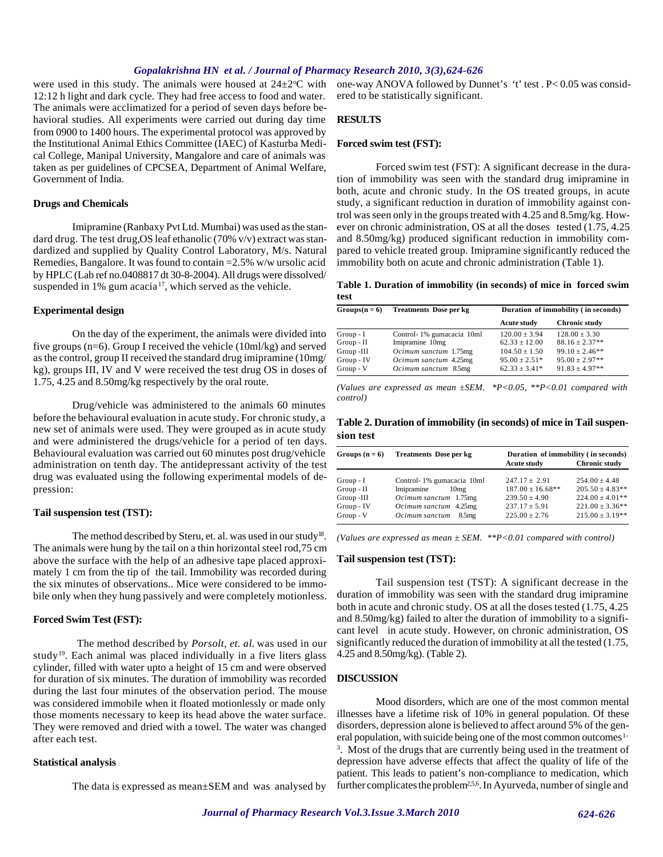### *Gopalakrishna HN et al. / Journal of Pharmacy Research 2010, 3(3),624-626*

were used in this study. The animals were housed at  $24\pm2\degree C$  with 12:12 h light and dark cycle. They had free access to food and water. The animals were acclimatized for a period of seven days before behavioral studies. All experiments were carried out during day time from 0900 to 1400 hours. The experimental protocol was approved by the Institutional Animal Ethics Committee (IAEC) of Kasturba Medical College, Manipal University, Mangalore and care of animals was taken as per guidelines of CPCSEA, Department of Animal Welfare, Government of India.

# **Drugs and Chemicals**

Imipramine (Ranbaxy Pvt Ltd. Mumbai) was used as the standard drug. The test drug, OS leaf ethanolic (70% v/v) extract was standardized and supplied by Quality Control Laboratory, M/s. Natural Remedies, Bangalore. It was found to contain =2.5% w/w ursolic acid by HPLC (Lab ref no.0408817 dt 30-8-2004). All drugs were dissolved/ suspended in 1% gum acacia<sup>17</sup>, which served as the vehicle.

#### **Experimental design**

On the day of the experiment, the animals were divided into five groups (n=6). Group I received the vehicle (10ml/kg) and served as the control, group II received the standard drug imipramine (10mg/ kg), groups III, IV and V were received the test drug OS in doses of 1.75, 4.25 and 8.50mg/kg respectively by the oral route.

Drug/vehicle was administered to the animals 60 minutes before the behavioural evaluation in acute study. For chronic study, a new set of animals were used. They were grouped as in acute study and were administered the drugs/vehicle for a period of ten days. Behavioural evaluation was carried out 60 minutes post drug/vehicle administration on tenth day. The antidepressant activity of the test drug was evaluated using the following experimental models of depression:

#### **Tail suspension test (TST):**

The method described by Steru, et. al. was used in our study<sup>18</sup>. The animals were hung by the tail on a thin horizontal steel rod,75 cm above the surface with the help of an adhesive tape placed approximately 1 cm from the tip of the tail. Immobility was recorded during the six minutes of observations.. Mice were considered to be immobile only when they hung passively and were completely motionless.

#### **Forced Swim Test (FST):**

The method described by *Porsolt, et. al.* was used in our study<sup>19</sup>. Each animal was placed individually in a five liters glass cylinder, filled with water upto a height of 15 cm and were observed for duration of six minutes. The duration of immobility was recorded during the last four minutes of the observation period. The mouse was considered immobile when it floated motionlessly or made only those moments necessary to keep its head above the water surface. They were removed and dried with a towel. The water was changed after each test.

#### **Statistical analysis**

The data is expressed as mean±SEM and was analysed by

one-way ANOVA followed by Dunnet's 't' test . P< 0.05 was considered to be statistically significant.

#### **RESULTS**

## **Forced swim test (FST):**

 Forced swim test (FST): A significant decrease in the duration of immobility was seen with the standard drug imipramine in both, acute and chronic study. In the OS treated groups, in acute study, a significant reduction in duration of immobility against control was seen only in the groups treated with 4.25 and 8.5mg/kg. However on chronic administration, OS at all the doses tested (1.75, 4.25 and 8.50mg/kg) produced significant reduction in immobility compared to vehicle treated group. Imipramine significantly reduced the immobility both on acute and chronic administration (Table 1).

**Table 1. Duration of immobility (in seconds) of mice in forced swim test**

| $Groups(n=6)$ | <b>Treatments Dose per kg</b> | Duration of immobility (in seconds) |                      |
|---------------|-------------------------------|-------------------------------------|----------------------|
|               |                               | <b>Acute study</b>                  | <b>Chronic study</b> |
| $Group - I$   | Control-1% gumacacia 10ml     | $120.00 + 3.94$                     | $128.00 + 3.30$      |
| $Group - II$  | Imipramine 10mg               | $62.33 \pm 12.00$                   | $88.16 + 2.37**$     |
| Group -III    | Ocimum sanctum 1.75mg         | $104.50 + 1.50$                     | $99.10 \pm 2.46$ **  |
| Group - IV    | Ocimum sanctum 4.25mg         | $95.00 \pm 2.51*$                   | $95.00 \pm 2.97**$   |
| Group - V     | Ocimum sanctum 8.5mg          | $62.33 + 3.41*$                     | $91.83 \pm 4.97**$   |
|               |                               |                                     |                      |

*(Values are expressed as mean ±SEM. \*P<0.05, \*\*P<0.01 compared with control)*

**Table 2. Duration of immobility (in seconds) of mice in Tail suspension test**

| Groups $(n = 6)$         | <b>Treatments Dose per kg</b>                                | Duration of immobility (in seconds)        |                                            |
|--------------------------|--------------------------------------------------------------|--------------------------------------------|--------------------------------------------|
|                          |                                                              | <b>Acute study</b>                         | <b>Chronic study</b>                       |
| $Group - I$              | Control-1% gumacacia 10ml                                    | $247.17 \pm 2.91$                          | $254.00 \pm 4.48$                          |
| Group - II<br>Group -III | Imipramine<br>10 <sub>mg</sub><br>Ocimum sanctum 1.75mg      | $187.00 \pm 16.68$ **<br>$239.50 \pm 4.90$ | $205.50 \pm 4.83**$<br>$224.00 \pm 4.01**$ |
| Group - IV<br>Group - V  | Ocimum sanctum 4.25mg<br>Ocimum sanctum<br>8.5 <sub>mg</sub> | $237.17 \pm 5.91$<br>$225.00 \pm 2.76$     | $221.00 \pm 3.36**$<br>$215.00 \pm 3.19**$ |

*(Values are expressed as mean ± SEM. \*\*P<0.01 compared with control)*

#### **Tail suspension test (TST):**

Tail suspension test (TST): A significant decrease in the duration of immobility was seen with the standard drug imipramine both in acute and chronic study. OS at all the doses tested (1.75, 4.25 and 8.50mg/kg) failed to alter the duration of immobility to a significant level in acute study. However, on chronic administration, OS significantly reduced the duration of immobility at all the tested (1.75, 4.25 and 8.50mg/kg). (Table 2).

# **DISCUSSION**

Mood disorders, which are one of the most common mental illnesses have a lifetime risk of 10% in general population. Of these disorders, depression alone is believed to affect around 5% of the general population, with suicide being one of the most common outcomes<sup>1-</sup> <sup>3</sup>. Most of the drugs that are currently being used in the treatment of depression have adverse effects that affect the quality of life of the patient. This leads to patient's non-compliance to medication, which further complicates the problem<sup>2,5,6</sup>. In Ayurveda, number of single and